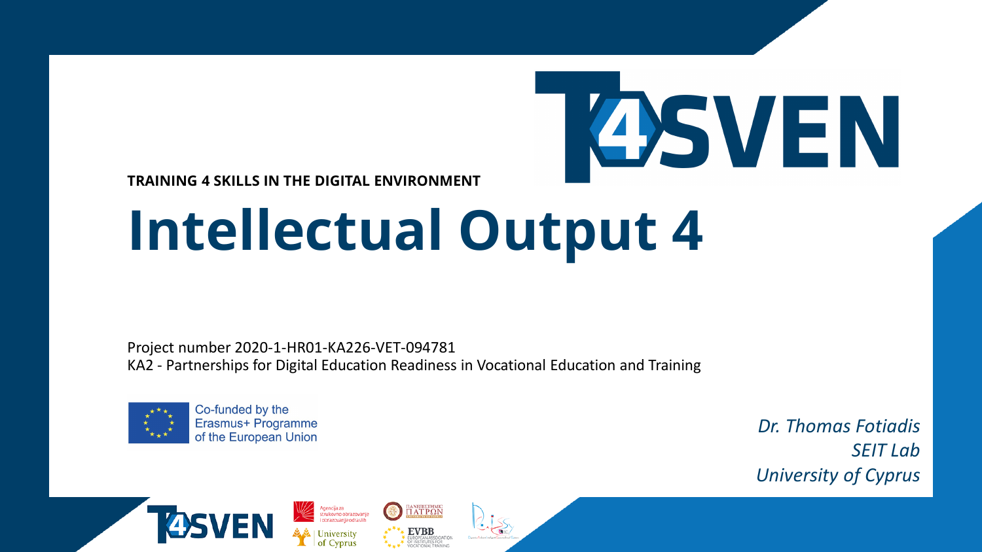#### **TRAINING 4 SKILLS IN THE DIGITAL ENVIRONMENT**

# **Intellectual Output 4**

Project number 2020-1-HR01-KA226-VET-094781 KA2 - Partnerships for Digital Education Readiness in Vocational Education and Training



Co-funded by the **Erasmus+ Programme** of the European Union

*Dr. Thomas Fotiadis SEIT Lab University of Cyprus*

**ASVEN** 



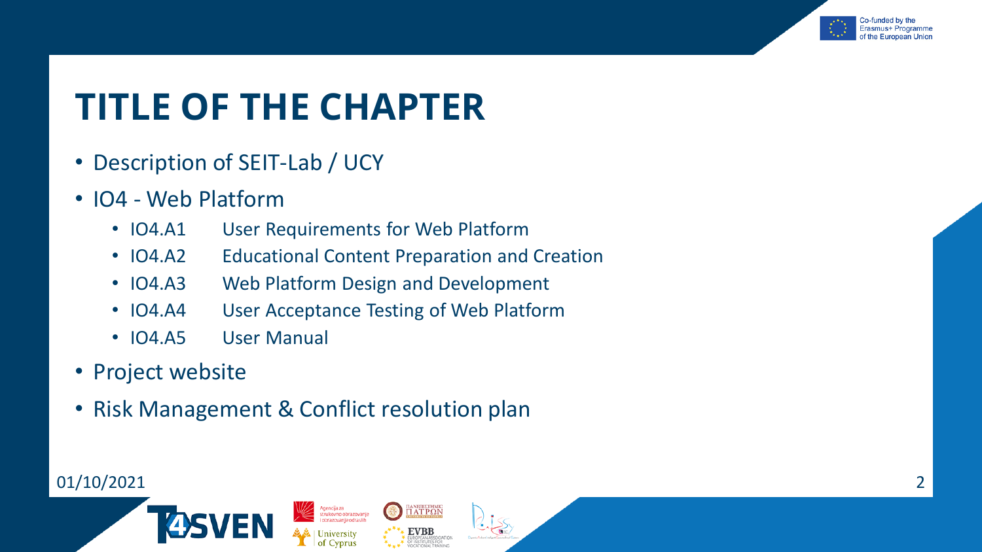

## **TITLE OF THE CHAPTER**

- Description of SEIT-Lab / UCY
- IO4 Web Platform
	- IO4.A1 User Requirements for Web Platform
	- IO4.A2 Educational Content Preparation and Creation
	- IO4.A3 Web Platform Design and Development
	- IO4.A4 User Acceptance Testing of Web Platform

Agencija za<br>strukovno obrazovanje<br>i obrazovanje odraslih

ΠΑΝΕΠΙΣΤΗΜΙΟ<br>ΠΑΤΡΩΝ

EVBB<br>OF INSTITUTES FOR<br>VOCATIONAL TRAINING

- IO4.A5 User Manual
- Project website
- Risk Management & Conflict resolution plan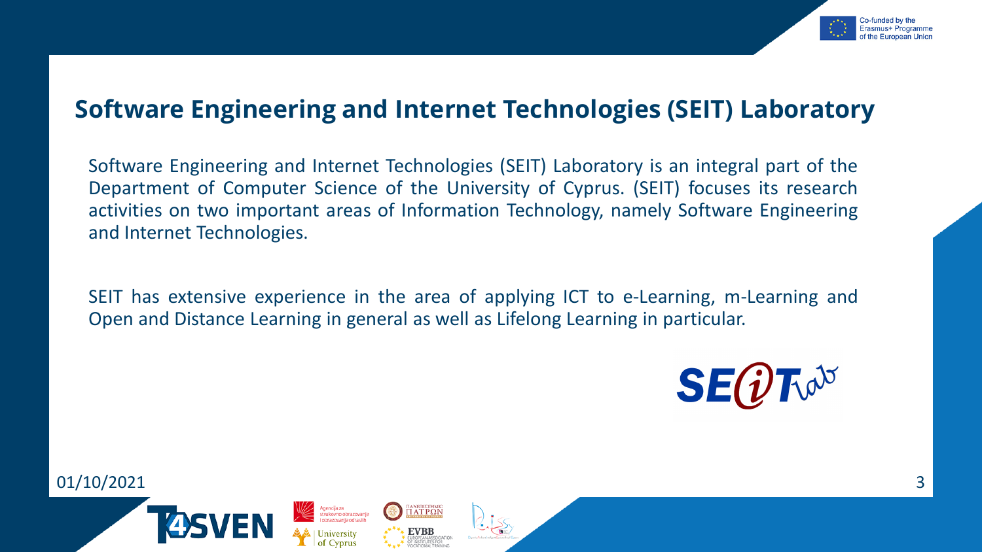

#### **Software Engineering and Internet Technologies (SEIT) Laboratory**

Software Engineering and Internet Technologies (SEIT) Laboratory is an integral part of the Department of Computer Science of the University of Cyprus. (SEIT) focuses its research activities on two important areas of Information Technology, namely Software Engineering and Internet Technologies.

SEIT has extensive experience in the area of applying ICT to e-Learning, m-Learning and Open and Distance Learning in general as well as Lifelong Learning in particular.

пахепіεтнміс<br>ΠАТРΩN





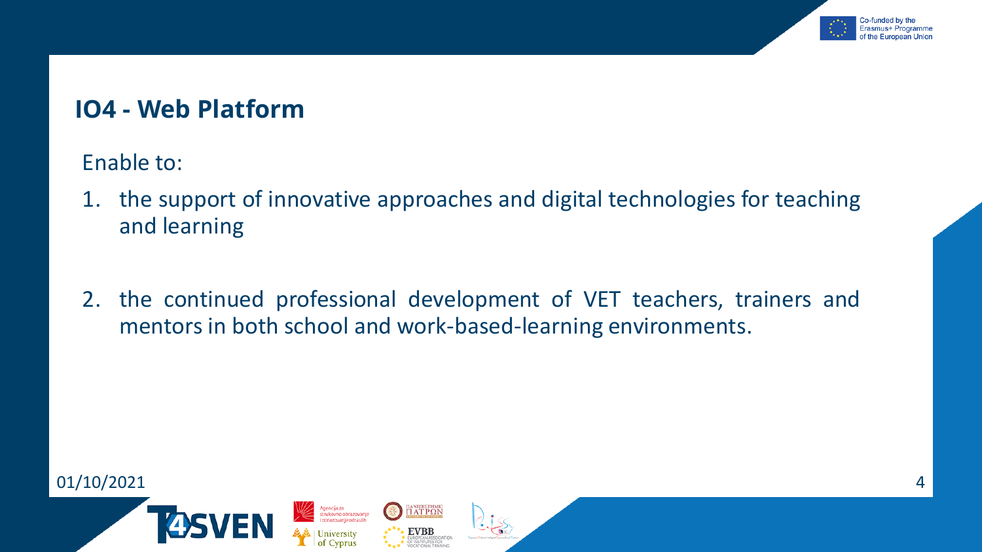

## **IO4 - Web Platform**

Enable to:

- 1. the support of innovative approaches and digital technologies for teaching and learning
- 2. the continued professional development of VET teachers, trainers and mentors in both school and work-based-learning environments.

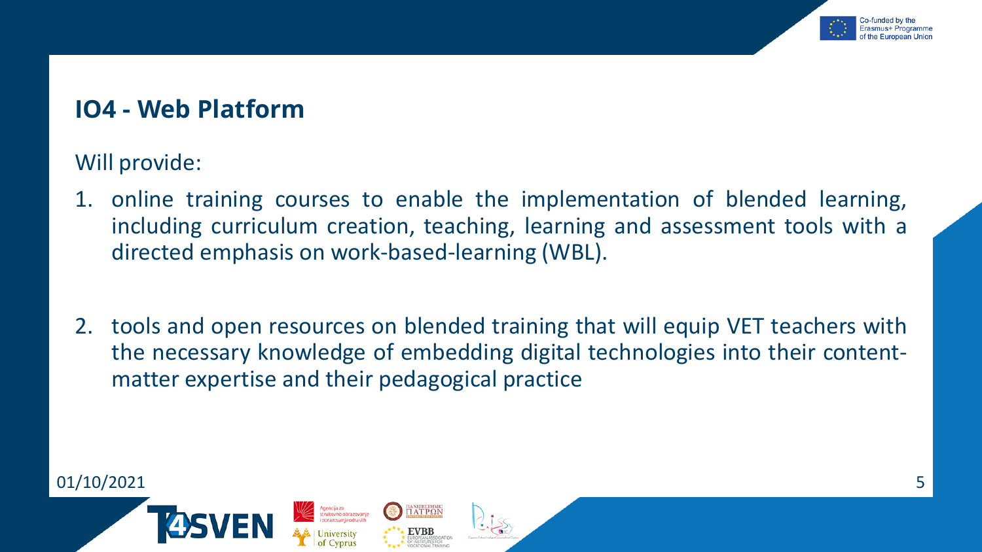

#### **IO4 - Web Platform**

Will provide:

- online training courses to enable the implementation of blended learning, including curriculum creation, teaching, learning and assessment tools with a directed emphasis on work-based-learning (WBL).
- 2. tools and open resources on blended training that will equip VET teachers with the necessary knowledge of embedding digital technologies into their contentmatter expertise and their pedagogical practice

ianetiiethmic<br>T AT P.O.N



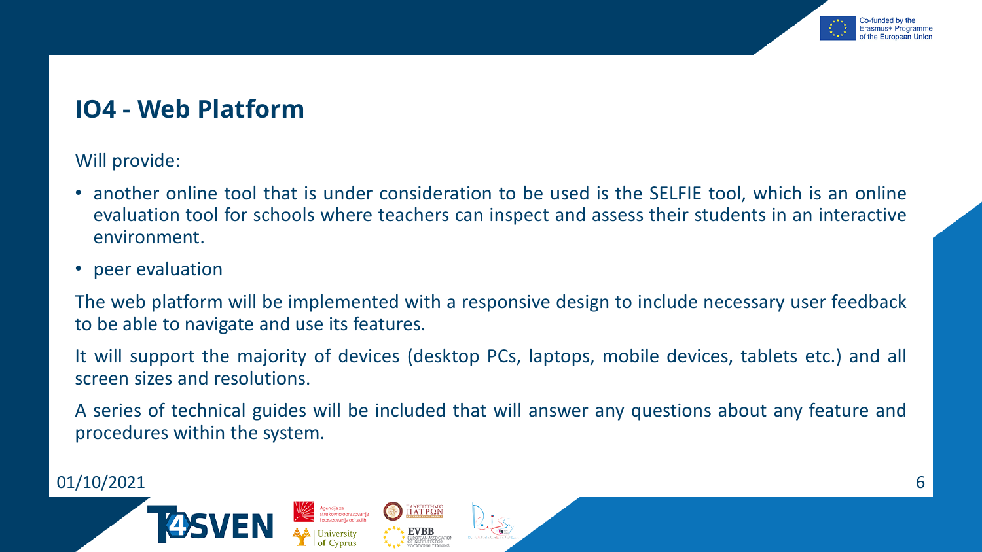

## **IO4 - Web Platform**

Will provide:

- another online tool that is under consideration to be used is the SELFIE tool, which is an online evaluation tool for schools where teachers can inspect and assess their students in an interactive environment.
- peer evaluation

The web platform will be implemented with a responsive design to include necessary user feedback to be able to navigate and use its features.

It will support the majority of devices (desktop PCs, laptops, mobile devices, tablets etc.) and all screen sizes and resolutions.

Α series of technical guides will be included that will answer any questions about any feature and procedures within the system.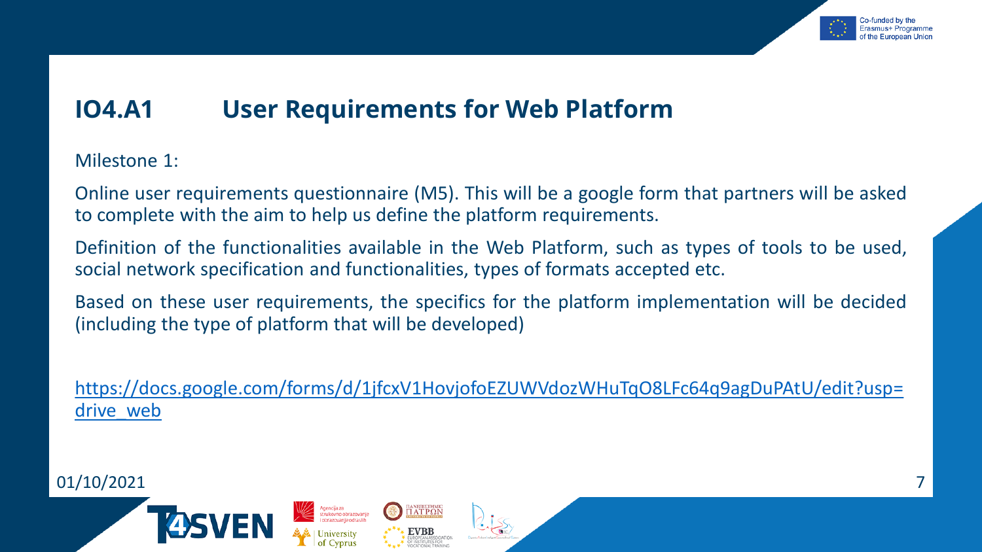

## **IO4.A1 User Requirements for Web Platform**

Milestone 1:

Online user requirements questionnaire (M5). This will be a google form that partners will be asked to complete with the aim to help us define the platform requirements.

Definition of the functionalities available in the Web Platform, such as types of tools to be used, social network specification and functionalities, types of formats accepted etc.

Based on these user requirements, the specifics for the platform implementation will be decided (including the type of platform that will be developed)

[https://docs.google.com/forms/d/1jfcxV1HovjofoEZUWVdozWHuTqO8LFc64q9agDuPAtU/edit?usp=](https://docs.google.com/forms/d/1jfcxV1HovjofoEZUWVdozWHuTqO8LFc64q9agDuPAtU/edit?usp=drive_web) drive web

πaneπiethmic<br>ΠΑΤΡΩΝ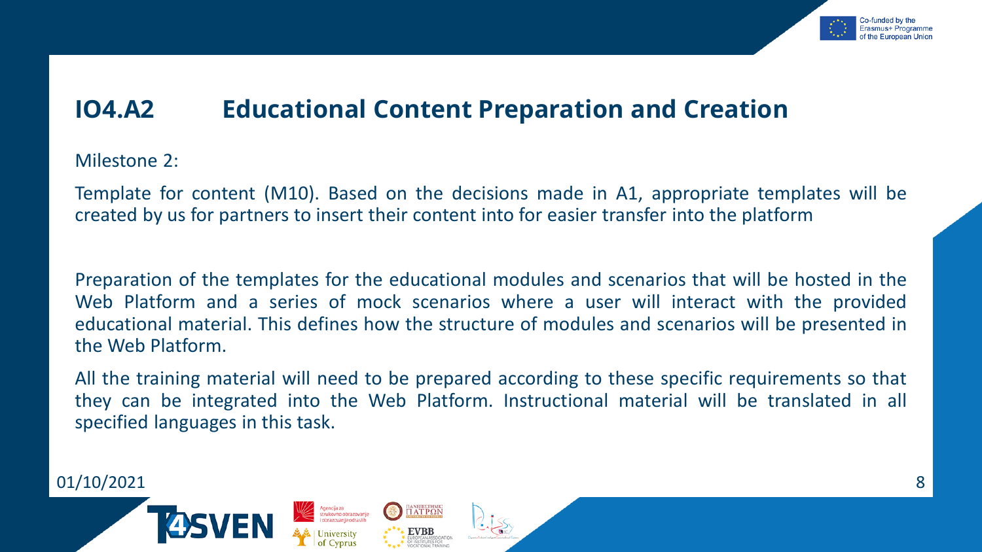

## **IO4.A2 Educational Content Preparation and Creation**

Milestone 2:

Template for content (M10). Based on the decisions made in A1, appropriate templates will be created by us for partners to insert their content into for easier transfer into the platform

Preparation of the templates for the educational modules and scenarios that will be hosted in the Web Platform and a series of mock scenarios where a user will interact with the provided educational material. This defines how the structure of modules and scenarios will be presented in the Web Platform.

All the training material will need to be prepared according to these specific requirements so that they can be integrated into the Web Platform. Instructional material will be translated in all specified languages in this task.

ianetiezthmic<br>T AT P O N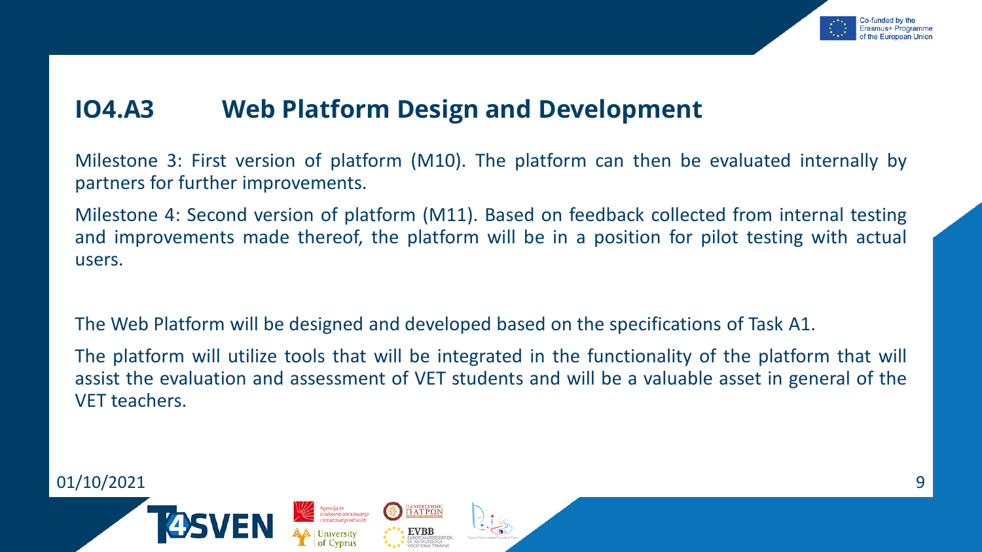

## **IO4.A3 Web Platform Design and Development**

Milestone 3: First version of platform (M10). The platform can then be evaluated internally by partners for further improvements.

Milestone 4: Second version of platform (M11). Based on feedback collected from internal testing and improvements made thereof, the platform will be in a position for pilot testing with actual users.

The Web Platform will be designed and developed based on the specifications of Task A1.

The platform will utilize tools that will be integrated in the functionality of the platform that will assist the evaluation and assessment of VET students and will be a valuable asset in general of the VET teachers.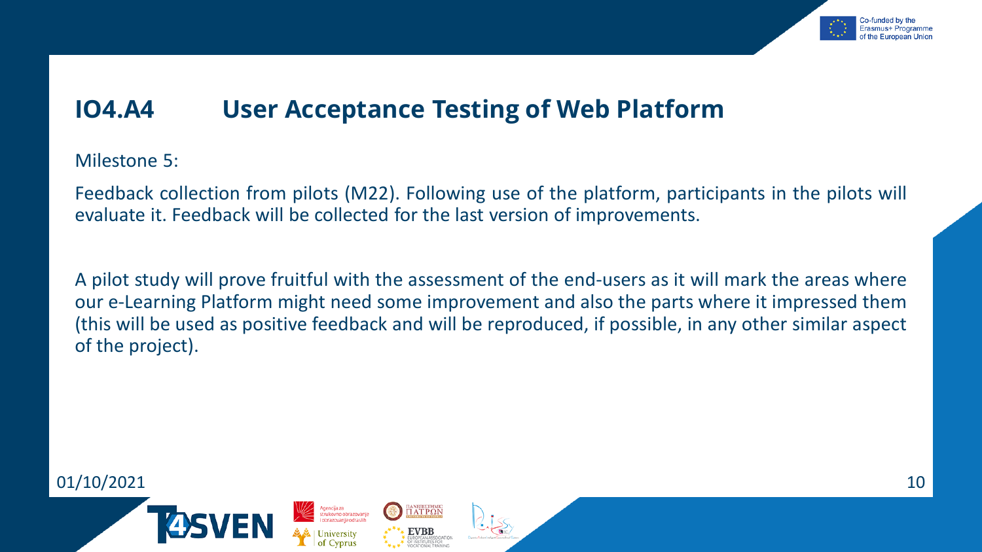

## **IO4.A4 User Acceptance Testing of Web Platform**

Milestone 5:

Feedback collection from pilots (M22). Following use of the platform, participants in the pilots will evaluate it. Feedback will be collected for the last version of improvements.

A pilot study will prove fruitful with the assessment of the end-users as it will mark the areas where our e-Learning Platform might need some improvement and also the parts where it impressed them (this will be used as positive feedback and will be reproduced, if possible, in any other similar aspect of the project).

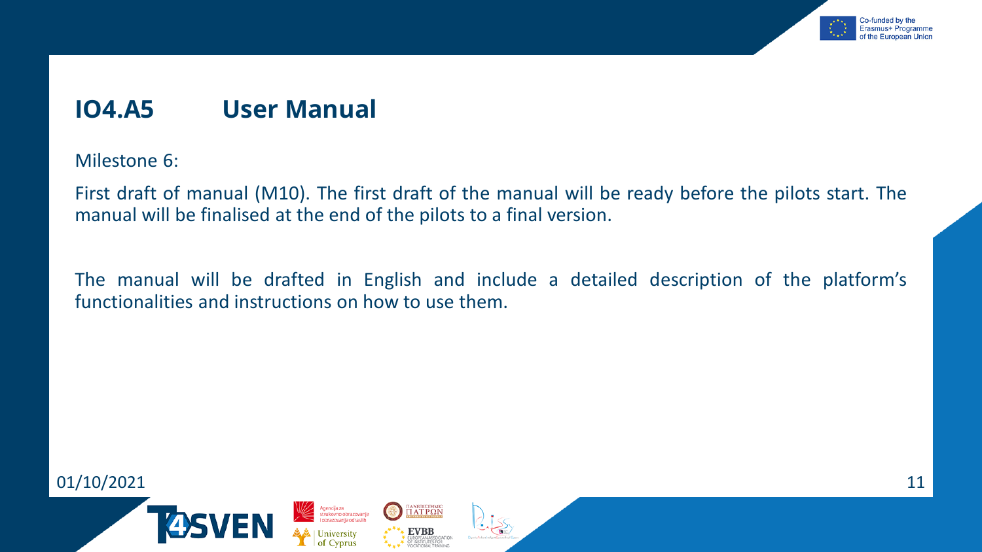

## **IO4.A5 User Manual**

Milestone 6:

First draft of manual (M10). The first draft of the manual will be ready before the pilots start. The manual will be finalised at the end of the pilots to a final version.

The manual will be drafted in English and include a detailed description of the platform's functionalities and instructions on how to use them.

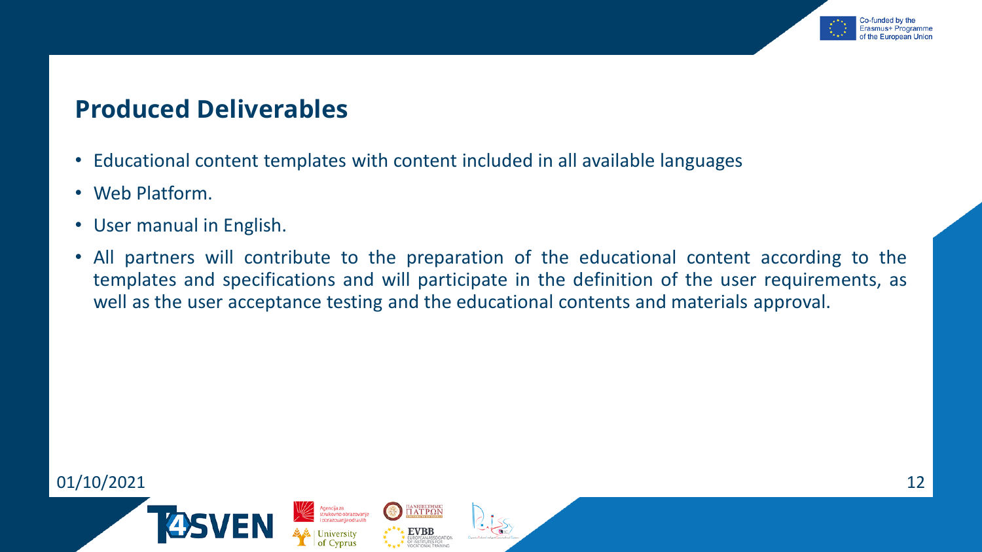

#### **Produced Deliverables**

- Educational content templates with content included in all available languages
- Web Platform.
- User manual in English.
- All partners will contribute to the preparation of the educational content according to the templates and specifications and will participate in the definition of the user requirements, as well as the user acceptance testing and the educational contents and materials approval.

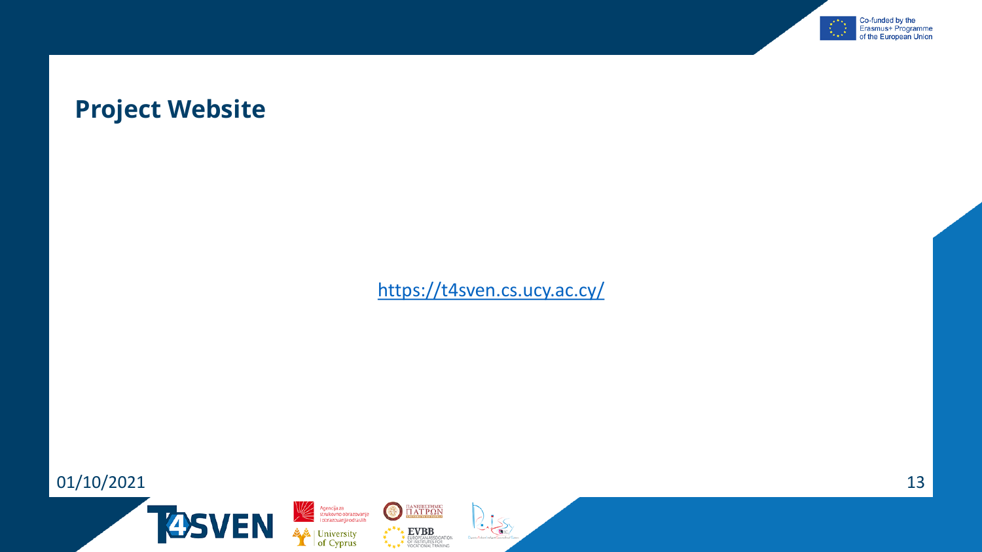

## **Project Website**

<https://t4sven.cs.ucy.ac.cy/>

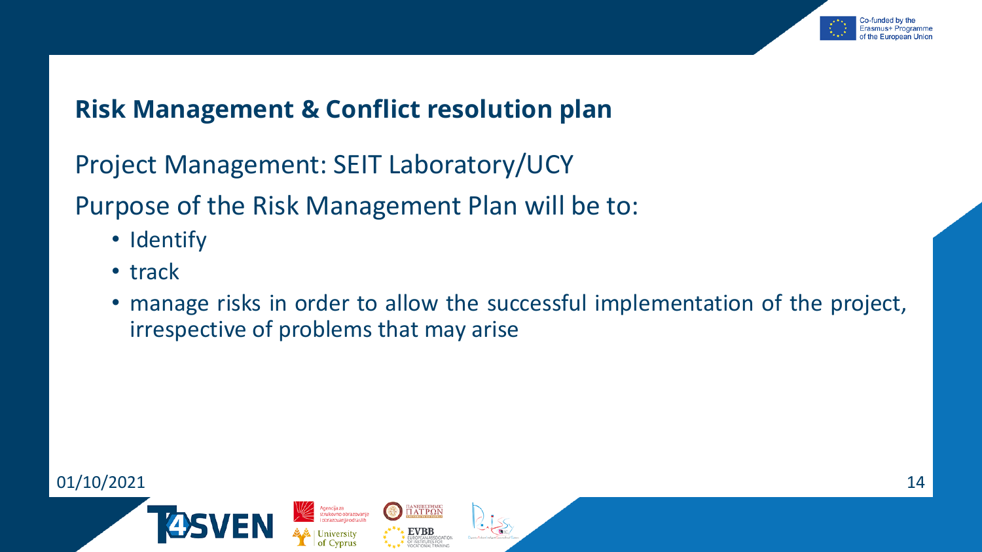

## **Risk Management & Conflict resolution plan**

Project Management: SEIT Laboratory/UCY

Purpose of the Risk Management Plan will be to:

- Identify
- track
- manage risks in order to allow the successful implementation of the project, irrespective of problems that may arise